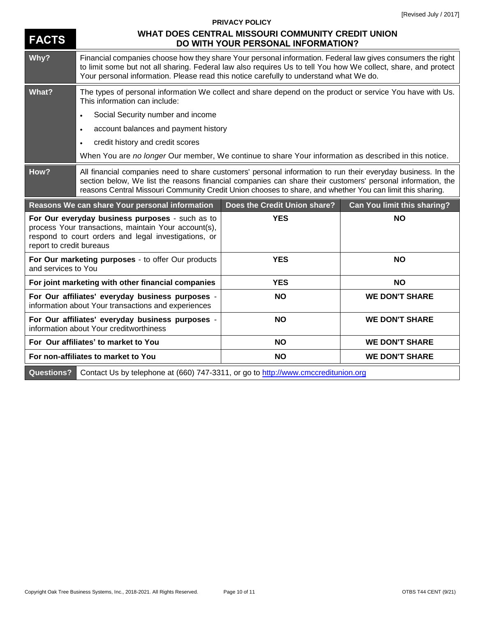| <b>FACTS</b>             | WHAT DOES CENTRAL MISSOURI COMMUNITY CREDIT UNION<br>DO WITH YOUR PERSONAL INFORMATION?                                                                                                                                                                                                                                                  |                              |                             |
|--------------------------|------------------------------------------------------------------------------------------------------------------------------------------------------------------------------------------------------------------------------------------------------------------------------------------------------------------------------------------|------------------------------|-----------------------------|
| Why?                     | Financial companies choose how they share Your personal information. Federal law gives consumers the right<br>to limit some but not all sharing. Federal law also requires Us to tell You how We collect, share, and protect<br>Your personal information. Please read this notice carefully to understand what We do.                   |                              |                             |
| What?                    | The types of personal information We collect and share depend on the product or service You have with Us.<br>This information can include:                                                                                                                                                                                               |                              |                             |
|                          | Social Security number and income<br>$\bullet$                                                                                                                                                                                                                                                                                           |                              |                             |
|                          | account balances and payment history<br>$\bullet$                                                                                                                                                                                                                                                                                        |                              |                             |
|                          | credit history and credit scores<br>$\bullet$                                                                                                                                                                                                                                                                                            |                              |                             |
|                          | When You are no longer Our member, We continue to share Your information as described in this notice.                                                                                                                                                                                                                                    |                              |                             |
| How?                     | All financial companies need to share customers' personal information to run their everyday business. In the<br>section below, We list the reasons financial companies can share their customers' personal information, the<br>reasons Central Missouri Community Credit Union chooses to share, and whether You can limit this sharing. |                              |                             |
|                          |                                                                                                                                                                                                                                                                                                                                          |                              |                             |
|                          | Reasons We can share Your personal information                                                                                                                                                                                                                                                                                           | Does the Credit Union share? | Can You limit this sharing? |
| report to credit bureaus | For Our everyday business purposes - such as to<br>process Your transactions, maintain Your account(s),<br>respond to court orders and legal investigations, or                                                                                                                                                                          | <b>YES</b>                   | <b>NO</b>                   |
| and services to You      | For Our marketing purposes - to offer Our products                                                                                                                                                                                                                                                                                       | <b>YES</b>                   | <b>NO</b>                   |
|                          | For joint marketing with other financial companies                                                                                                                                                                                                                                                                                       | <b>YES</b>                   | <b>NO</b>                   |
|                          | For Our affiliates' everyday business purposes -<br>information about Your transactions and experiences                                                                                                                                                                                                                                  | <b>NO</b>                    | <b>WE DON'T SHARE</b>       |
|                          | For Our affiliates' everyday business purposes -<br>information about Your creditworthiness                                                                                                                                                                                                                                              | <b>NO</b>                    | <b>WE DON'T SHARE</b>       |
|                          | For Our affiliates' to market to You                                                                                                                                                                                                                                                                                                     | <b>NO</b>                    | <b>WE DON'T SHARE</b>       |

**PRIVACY POLICY**

Questions? Contact Us by telephone at (660) 747-3311, or go to<http://www.cmccreditunion.org>